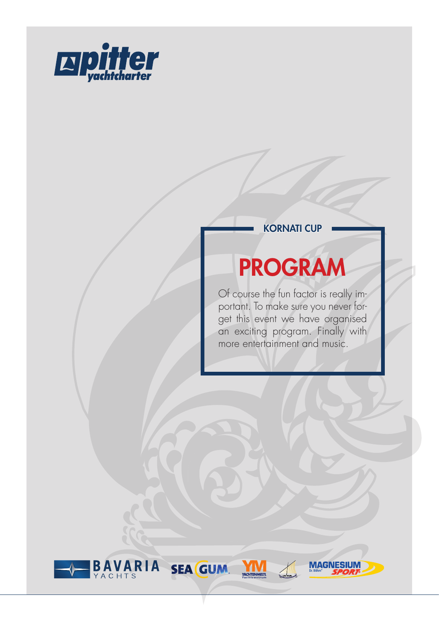

#### KORNATI CUP

# PROGRAM

Of course the fun factor is really important. To make sure you never forget this event we have organised an exciting program. Finally with more entertainment and music.

**MAGN** 

LK/KU

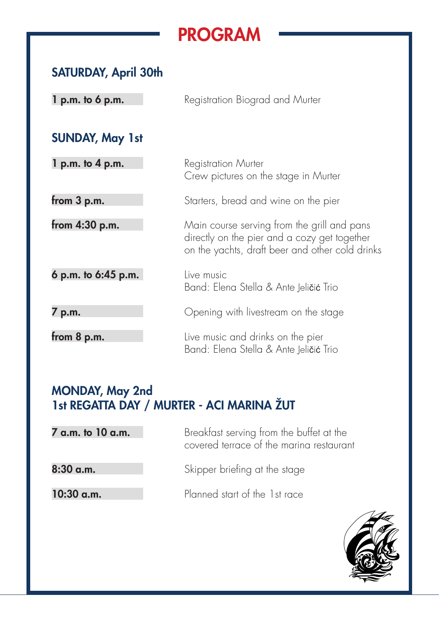## PROGRAM

### SATURDAY, April 30th

| $l$ p.m. to 6 p.m.     | Registration Biograd and Murter                                                                                                                |
|------------------------|------------------------------------------------------------------------------------------------------------------------------------------------|
| <b>SUNDAY, May 1st</b> |                                                                                                                                                |
| $1 p.m.$ to $4 p.m.$   | <b>Registration Murter</b><br>Crew pictures on the stage in Murter                                                                             |
| from $3$ p.m.          | Starters, bread and wine on the pier                                                                                                           |
| from 4:30 p.m.         | Main course serving from the grill and pans<br>directly on the pier and a cozy get together<br>on the yachts, draft beer and other cold drinks |
| 6 p.m. to 6:45 p.m.    | Live music<br>Band: Elena Stella & Ante Jeli <b>čić</b> Trio                                                                                   |
| 7 p.m.                 | Opening with livestream on the stage                                                                                                           |
| from $8$ p.m.          | Live music and drinks on the pier<br>Band: Elena Stella & Ante Jeličić Trio                                                                    |

### MONDAY, May 2nd 1st REGATTA DAY / MURTER - ACI MARINA ŽUT

| 7 a.m. to 10 a.m. | Breakfast serving from the buffet at the<br>covered terrace of the marina restaurant |
|-------------------|--------------------------------------------------------------------------------------|
| $8:30$ a.m.       | Skipper briefing at the stage                                                        |
| $10:30$ a.m.      | Planned start of the 1st race                                                        |

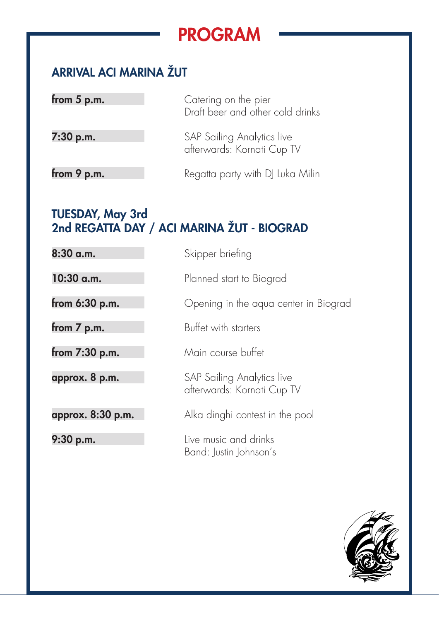## PROGRAM

### ARRIVAL ACI MARINA ŽUT

| from $5$ p.m. | Catering on the pier<br>Draft beer and other cold drinks |
|---------------|----------------------------------------------------------|
| 7:30 p.m.     | SAP Sailing Analytics live<br>afterwards: Kornati Cup TV |
| from 9 p.m.   | Regatta party with DJ Luka Milin                         |

#### TUESDAY, May 3rd 2nd REGATTA DAY / ACI MARINA ŽUT - BIOGRAD

| 8:30 a.m.         | Skipper briefing                                         |
|-------------------|----------------------------------------------------------|
| $10:30$ a.m.      | Planned start to Biograd                                 |
| from 6:30 p.m.    | Opening in the aqua center in Biograd                    |
| from 7 p.m.       | Buffet with starters                                     |
| from $7:30$ p.m.  | Main course buffet                                       |
| approx. 8 p.m.    | SAP Sailing Analytics live<br>afterwards: Kornati Cup TV |
| approx. 8:30 p.m. | Alka dinghi contest in the pool                          |
| 9:30 p.m.         | Live music and drinks<br>Band: Justin Johnson's          |